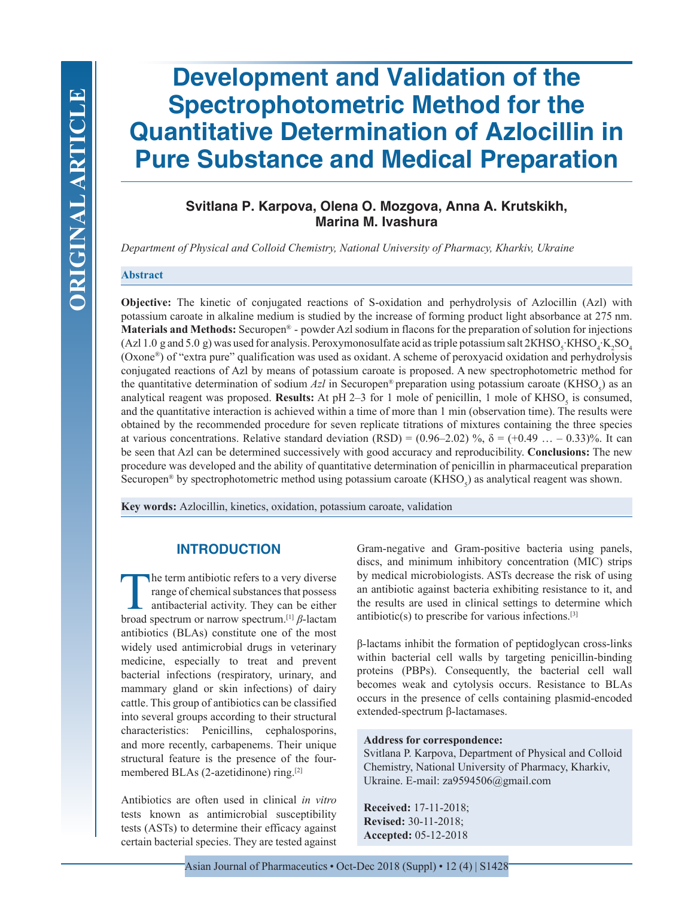# **Development and Validation of the Spectrophotometric Method for the Quantitative Determination of Azlocillin in Pure Substance and Medical Preparation**

## **Svitlana P. Karpova, Olena O. Mozgova, Anna A. Krutskikh, Marina M. Ivashura**

*Department of Physical and Colloid Chemistry, National University of Pharmacy, Kharkiv, Ukraine*

#### **Abstract**

**Objective:** The kinetic of conjugated reactions of S-oxidation and perhydrolysis of Azlocillin (Azl) with potassium caroate in alkaline medium is studied by the increase of forming product light absorbance at 275 nm. **Materials and Methods:** Securopen® - powder Azl sodium in flacons for the preparation of solution for injections (Azl 1.0 g and 5.0 g) was used for analysis. Peroxymonosulfate acid as triple potassium salt  $2KHSO_3$ ·KHSO<sub>4</sub>·K<sub>2</sub>SO<sub>4</sub> (Oxone®) of "extra pure" qualification was used as oxidant. A scheme of peroxyacid oxidation and perhydrolysis conjugated reactions of Azl by means of potassium caroate is proposed. A new spectrophotometric method for the quantitative determination of sodium  $Azl$  in Securopen<sup>®</sup> preparation using potassium caroate (KHSO<sub>5</sub>) as an analytical reagent was proposed. **Results:** At pH 2–3 for 1 mole of penicillin, 1 mole of  $KHSO<sub>5</sub>$  is consumed, and the quantitative interaction is achieved within a time of more than 1 min (observation time). The results were obtained by the recommended procedure for seven replicate titrations of mixtures containing the three species at various concentrations. Relative standard deviation (RSD) =  $(0.96-2.02)$  %,  $\delta = (+0.49 \dots -0.33)$ %. It can be seen that Azl can be determined successively with good accuracy and reproducibility. **Conclusions:** The new procedure was developed and the ability of quantitative determination of penicillin in pharmaceutical preparation Securopen<sup>®</sup> by spectrophotometric method using potassium caroate (KHSO<sub>5</sub>) as analytical reagent was shown.

**Key words:** Azlocillin, kinetics, oxidation, potassium caroate, validation

## **INTRODUCTION**

The term antibiotic refers to a very diverse<br>range of chemical substances that possess<br>antibacterial activity. They can be either<br>broad spectrum or parrow spectrum [1]  $R$ -lactam range of chemical substances that possess antibacterial activity. They can be either broad spectrum or narrow spectrum.[1] *β*-lactam antibiotics (BLAs) constitute one of the most widely used antimicrobial drugs in veterinary medicine, especially to treat and prevent bacterial infections (respiratory, urinary, and mammary gland or skin infections) of dairy cattle. This group of antibiotics can be classified into several groups according to their structural characteristics: Penicillins, cephalosporins, and more recently, carbapenems. Their unique structural feature is the presence of the fourmembered BLAs (2-azetidinone) ring.[2]

Antibiotics are often used in clinical *in vitro* tests known as antimicrobial susceptibility tests (ASTs) to determine their efficacy against certain bacterial species. They are tested against

Gram-negative and Gram-positive bacteria using panels, discs, and minimum inhibitory concentration (MIC) strips by medical microbiologists. ASTs decrease the risk of using an antibiotic against bacteria exhibiting resistance to it, and the results are used in clinical settings to determine which antibiotic(s) to prescribe for various infections. $[3]$ 

β-lactams inhibit the formation of peptidoglycan cross-links within bacterial cell walls by targeting penicillin-binding proteins (PBPs). Consequently, the bacterial cell wall becomes weak and cytolysis occurs. Resistance to BLAs occurs in the presence of cells containing plasmid-encoded extended-spectrum β-lactamases.

#### **Address for correspondence:**

Svitlana P. Karpova, Department of Physical and Colloid Chemistry, National University of Pharmacy, Kharkiv, Ukraine. E-mail: za9594506@gmail.com

**Received:** 17-11-2018; **Revised:** 30-11-2018; **Accepted:** 05-12-2018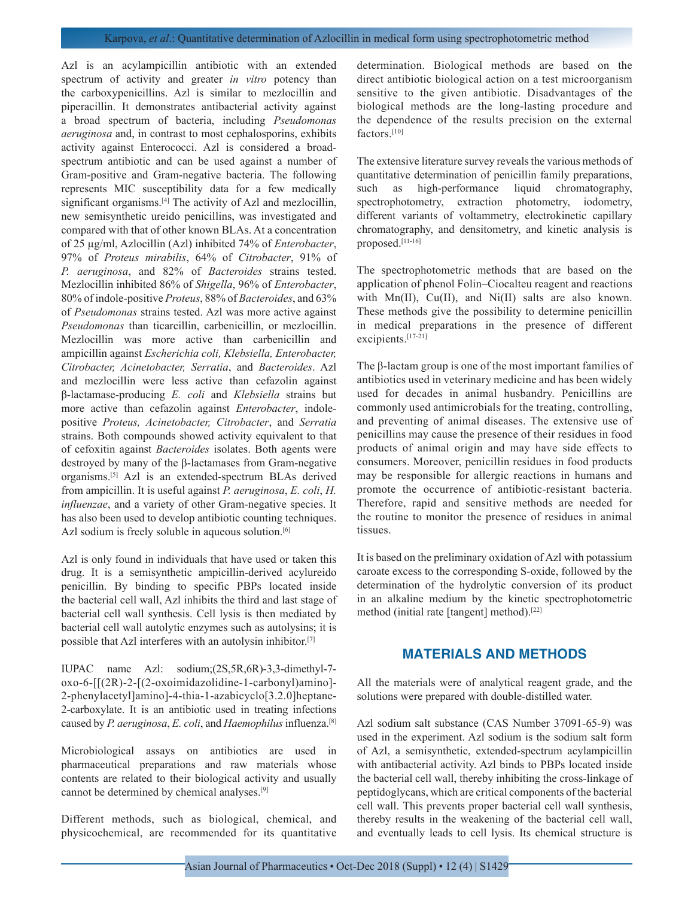Azl is an acylampicillin antibiotic with an extended spectrum of activity and greater *in vitro* potency than the carboxypenicillins. Azl is similar to mezlocillin and piperacillin. It demonstrates antibacterial activity against a broad spectrum of bacteria, including *Pseudomonas aeruginosa* and, in contrast to most cephalosporins, exhibits activity against Enterococci. Azl is considered a broadspectrum antibiotic and can be used against a number of Gram-positive and Gram-negative bacteria. The following represents MIC susceptibility data for a few medically significant organisms.<sup>[4]</sup> The activity of Azl and mezlocillin, new semisynthetic ureido penicillins, was investigated and compared with that of other known BLAs. At a concentration of 25 µg/ml, Azlocillin (Azl) inhibited 74% of *Enterobacter*, 97% of *Proteus mirabilis*, 64% of *Citrobacter*, 91% of *P. aeruginosa*, and 82% of *Bacteroides* strains tested. Mezlocillin inhibited 86% of *Shigella*, 96% of *Enterobacter*, 80% of indole-positive *Proteus*, 88% of *Bacteroides*, and 63% of *Pseudomonas* strains tested. Azl was more active against *Pseudomonas* than ticarcillin, carbenicillin, or mezlocillin. Mezlocillin was more active than carbenicillin and ampicillin against *Escherichia coli, Klebsiella, Enterobacter, Citrobacter, Acinetobacter, Serratia*, and *Bacteroides*. Azl and mezlocillin were less active than cefazolin against β-lactamase-producing *E. coli* and *Klebsiella* strains but more active than cefazolin against *Enterobacter*, indolepositive *Proteus, Acinetobacter, Citrobacter*, and *Serratia* strains. Both compounds showed activity equivalent to that of cefoxitin against *Bacteroides* isolates. Both agents were destroyed by many of the β-lactamases from Gram-negative organisms.[5] Azl is an extended-spectrum BLAs derived from ampicillin. It is useful against *P. aeruginosa*, *E. coli*, *H. influenzae*, and a variety of other Gram-negative species. It has also been used to develop antibiotic counting techniques. Azl sodium is freely soluble in aqueous solution.<sup>[6]</sup>

Azl is only found in individuals that have used or taken this drug. It is a semisynthetic ampicillin-derived acylureido penicillin. By binding to specific PBPs located inside the bacterial cell wall, Azl inhibits the third and last stage of bacterial cell wall synthesis. Cell lysis is then mediated by bacterial cell wall autolytic enzymes such as autolysins; it is possible that Azl interferes with an autolysin inhibitor.[7]

IUPAC name Azl: sodium;(2S,5R,6R)-3,3-dimethyl-7 oxo-6-[[(2R)-2-[(2-oxoimidazolidine-1-carbonyl)amino]- 2-phenylacetyl]amino]-4-thia-1-azabicyclo[3.2.0]heptane-2-carboxylate. It is an antibiotic used in treating infections caused by *P. aeruginosa*, *E. coli*, and *Haemophilus* influenza.[8]

Microbiological assays on antibiotics are used in pharmaceutical preparations and raw materials whose contents are related to their biological activity and usually cannot be determined by chemical analyses.[9]

Different methods, such as biological, chemical, and physicochemical, are recommended for its quantitative determination. Biological methods are based on the direct antibiotic biological action on a test microorganism sensitive to the given antibiotic. Disadvantages of the biological methods are the long-lasting procedure and the dependence of the results precision on the external factors.[10]

The extensive literature survey reveals the various methods of quantitative determination of penicillin family preparations, such as high-performance liquid chromatography, spectrophotometry, extraction photometry, iodometry, different variants of voltammetry, electrokinetic capillary chromatography, and densitometry, and kinetic analysis is proposed.[11-16]

The spectrophotometric methods that are based on the application of phenol Folin–Ciocalteu reagent and reactions with Mn(II), Cu(II), and Ni(II) salts are also known. These methods give the possibility to determine penicillin in medical preparations in the presence of different excipients.<sup>[17-21]</sup>

The β-lactam group is one of the most important families of antibiotics used in veterinary medicine and has been widely used for decades in animal husbandry. Penicillins are commonly used antimicrobials for the treating, controlling, and preventing of animal diseases. The extensive use of penicillins may cause the presence of their residues in food products of animal origin and may have side effects to consumers. Moreover, penicillin residues in food products may be responsible for allergic reactions in humans and promote the occurrence of antibiotic-resistant bacteria. Therefore, rapid and sensitive methods are needed for the routine to monitor the presence of residues in animal tissues.

It is based on the preliminary oxidation of Azl with potassium caroate excess to the corresponding S-oxide, followed by the determination of the hydrolytic conversion of its product in an alkaline medium by the kinetic spectrophotometric method (initial rate [tangent] method).[22]

## **MATERIALS AND METHODS**

All the materials were of analytical reagent grade, and the solutions were prepared with double-distilled water.

Azl sodium salt substance (CAS Number 37091-65-9) was used in the experiment. Azl sodium is the sodium salt form of Azl, a semisynthetic, extended-spectrum acylampicillin with antibacterial activity. Azl binds to PBPs located inside the bacterial cell wall, thereby inhibiting the cross-linkage of peptidoglycans, which are critical components of the bacterial cell wall. This prevents proper bacterial cell wall synthesis, thereby results in the weakening of the bacterial cell wall, and eventually leads to cell lysis. Its chemical structure is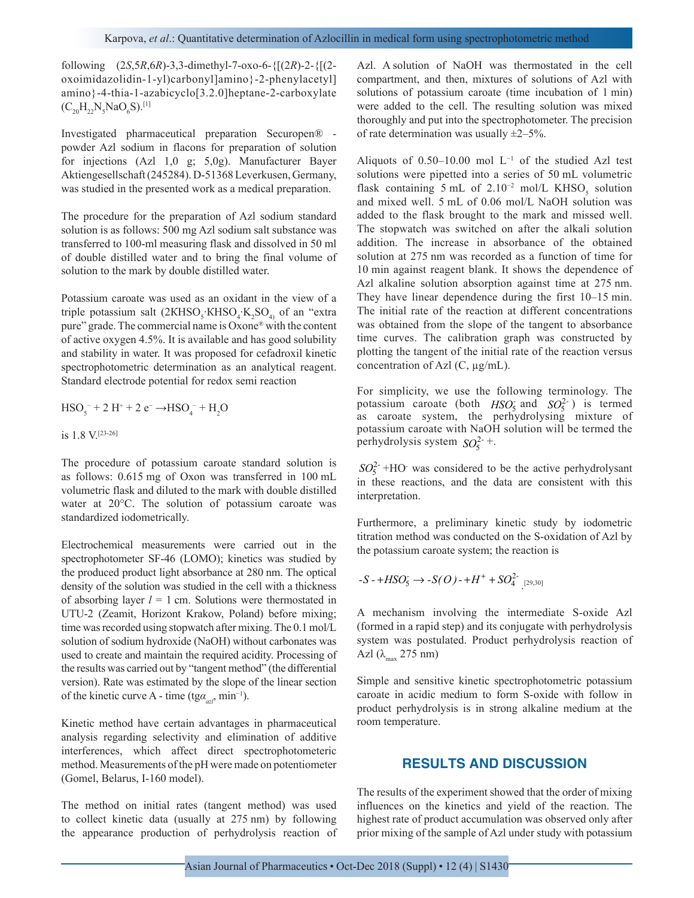following (2*S*,5*R*,6*R*)-3,3-dimethyl-7-oxo-6-{[(2*R*)-2-{[(2 oxoimidazolidin-1-yl)carbonyl]amino}-2-phenylacetyl] amino}-4-thia-1-azabicyclo[3.2.0]heptane-2-carboxylate  $(C_{20}H_{22}N_5NaO_6S).^{[1]}$ 

Investigated pharmaceutical preparation Securopen® powder Azl sodium in flacons for preparation of solution for injections (Azl 1,0 g; 5,0g). Manufacturer Bayer Aktiengesellschaft (245284). D-51368 Leverkusen, Germany, was studied in the presented work as a medical preparation.

The procedure for the preparation of Azl sodium standard solution is as follows: 500 mg Azl sodium salt substance was transferred to 100-ml measuring flask and dissolved in 50 ml of double distilled water and to bring the final volume of solution to the mark by double distilled water.

Potassium caroate was used as an oxidant in the view of a triple potassium salt  $(2KHSO<sub>5</sub>·KHSO<sub>4</sub>·K<sub>2</sub>SO<sub>4</sub>)$  of an "extra pure" grade. The commercial name is Oxone® with the content of active oxygen 4.5%. It is available and has good solubility and stability in water. It was proposed for cefadroxil kinetic spectrophotometric determination as an analytical reagent. Standard electrode potential for redox semi reaction

$$
HSO_5^- + 2 H^+ + 2 e^- \rightarrow HSO_4^- + H_2O
$$

is 1.8 V.[23-26]

The procedure of potassium caroate standard solution is as follows: 0.615 mg of Oxon was transferred in 100 mL volumetric flask and diluted to the mark with double distilled water at 20°С. The solution of potassium caroate was standardized iodometrically.

Electrochemical measurements were carried out in the spectrophotometer SF-46 (LOMO); kinetics was studied by the produced product light absorbance at 280 nm. The optical density of the solution was studied in the cell with a thickness of absorbing layer  $l = 1$  cm. Solutions were thermostated in UTU-2 (Zeamit, Horizont Krakow, Poland) before mixing; time was recorded using stopwatch after mixing. The 0.1 mol/L solution of sodium hydroxide (NaOH) without carbonates was used to create and maintain the required acidity. Processing of the results was carried out by "tangent method" (the differential version). Rate was estimated by the slope of the linear section of the kinetic curve A - time (tg $\alpha_{a\tau}$ , min<sup>-1</sup>).

Kinetic method have certain advantages in pharmaceutical analysis regarding selectivity and elimination of additive interferences, which affect direct spectrophotometeric method. Measurements of the pH were made on potentiometer (Gomel, Belarus, I-160 model).

The method on initial rates (tangent method) was used to collect kinetic data (usually at 275 nm) by following the appearance production of perhydrolysis reaction of Azl. A solution of NaOH was thermostated in the cell compartment, and then, mixtures of solutions of Azl with solutions of potassium caroate (time incubation of 1 min) were added to the cell. The resulting solution was mixed thoroughly and put into the spectrophotometer. The precision of rate determination was usually  $\pm 2-5\%$ .

Aliquots of 0.50–10.00 mol L−1 of the studied Azl test solutions were pipetted into a series of 50 mL volumetric flask containing 5 mL of 2.10<sup>-2</sup> mol/L KHSO<sub>5</sub> solution and mixed well. 5 mL of 0.06 mol/L NaOH solution was added to the flask brought to the mark and missed well. The stopwatch was switched on after the alkali solution addition. The increase in absorbance of the obtained solution at 275 nm was recorded as a function of time for 10 min against reagent blank. It shows the dependence of Azl alkaline solution absorption against time at 275 nm. They have linear dependence during the first 10–15 min. The initial rate of the reaction at different concentrations was obtained from the slope of the tangent to absorbance time curves. The calibration graph was constructed by plotting the tangent of the initial rate of the reaction versus concentration of Azl (C,  $\mu$ g/mL).

For simplicity, we use the following terminology. The potassium caroate (both  $HSO_5$  and  $SO_5^2$ ) is termed as caroate system, the perhydrolysing mixture of potassium caroate with NaOH solution will be termed the perhydrolysis system  $SO_5^{2-+}$ .

 $SO_5^{2-}$  +HO<sup>-</sup> was considered to be the active perhydrolysant in these reactions, and the data are consistent with this interpretation.

Furthermore, a preliminary kinetic study by iodometric titration method was conducted on the S-oxidation of Azl by the potassium caroate system; the reaction is

$$
-S - HSO_5 \to -S(O) - H^+ + SO_4^{2} \quad \text{[29,30]}
$$

A mechanism involving the intermediate S-oxide Azl (formed in a rapid step) and its conjugate with perhydrolysis system was postulated. Product perhydrolysis reaction of Azl  $(\lambda_{\text{max}} 275 \text{ nm})$ 

Simple and sensitive kinetic spectrophotometric potassium caroate in acidic medium to form S-oxide with follow in product perhydrolysis is in strong alkaline medium at the room temperature.

### **RESULTS AND DISCUSSION**

The results of the experiment showed that the order of mixing influences on the kinetics and yield of the reaction. The highest rate of product accumulation was observed only after prior mixing of the sample of Azl under study with potassium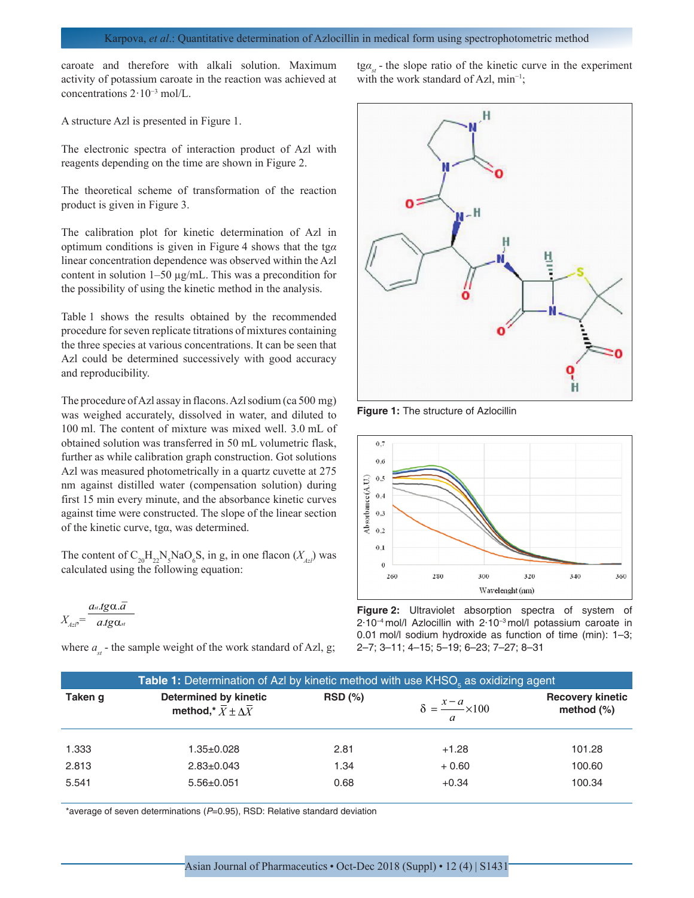caroate and therefore with alkali solution. Maximum activity of potassium caroate in the reaction was achieved at concentrations 2·10−3 mol/L.

A structure Azl is presented in Figure 1.

The electronic spectra of interaction product of Azl with reagents depending on the time are shown in Figure 2.

The theoretical scheme of transformation of the reaction product is given in Figure 3.

The calibration plot for kinetic determination of Azl in optimum conditions is given in Figure 4 shows that the tg*α*  linear concentration dependence was observed within the Azl content in solution 1–50 µg/mL. This was a precondition for the possibility of using the kinetic method in the analysis.

Table 1 shows the results obtained by the recommended procedure for seven replicate titrations of mixtures containing the three species at various concentrations. It can be seen that Azl could be determined successively with good accuracy and reproducibility.

The procedure of Azl assay in flacons. Azl sodium (ca 500 mg) was weighed accurately, dissolved in water, and diluted to 100 ml. The content of mixture was mixed well. 3.0 mL of obtained solution was transferred in 50 mL volumetric flask, further as while calibration graph construction. Got solutions Azl was measured photometrically in a quartz cuvette at 275 nm against distilled water (compensation solution) during first 15 min every minute, and the absorbance kinetic curves against time were constructed. The slope of the linear section of the kinetic curve, tgα, was determined.

The content of  $C_{20}H_{22}N_5NaO_6S$ , in g, in one flacon  $(X_{Az})$  was calculated using the following equation:

$$
X_{A z l} = \frac{a_{st}.t g \alpha .\overline{a}}{a.t g \alpha_{st}}
$$

where  $a_{st}$  - the sample weight of the work standard of Azl, g;

tgα<sub>*st*</sub> - the slope ratio of the kinetic curve in the experiment with the work standard of Azl, min−1;



**Figure 1:** The structure of Azlocillin



**Figure 2:** Ultraviolet absorption spectra of system of 2·10−4 mol/l Azlocillin with 2·10−3 mol/l potassium caroate in 0.01 mol/l sodium hydroxide as function of time (min): 1–3; 2–7; 3–11; 4–15; 5–19; 6–23; 7–27; 8–31

|         | Table 1: Determination of Azl by kinetic method with use KHSO <sub>s</sub> as oxidizing agent |           |                                     |                                          |  |
|---------|-----------------------------------------------------------------------------------------------|-----------|-------------------------------------|------------------------------------------|--|
| Taken g | <b>Determined by kinetic</b><br>method,* $\overline{X} \pm \Delta \overline{X}$               | $RSD(\%)$ | $\delta = \frac{x-a}{a} \times 100$ | <b>Recovery kinetic</b><br>method $(\%)$ |  |
| 1.333   | 1.35±0.028                                                                                    | 2.81      | $+1.28$                             | 101.28                                   |  |
| 2.813   | $2.83 \pm 0.043$                                                                              | 1.34      | $+0.60$                             | 100.60                                   |  |
| 5.541   | $5.56 \pm 0.051$                                                                              | 0.68      | $+0.34$                             | 100.34                                   |  |

\*average of seven determinations (*P*=0.95), RSD: Relative standard deviation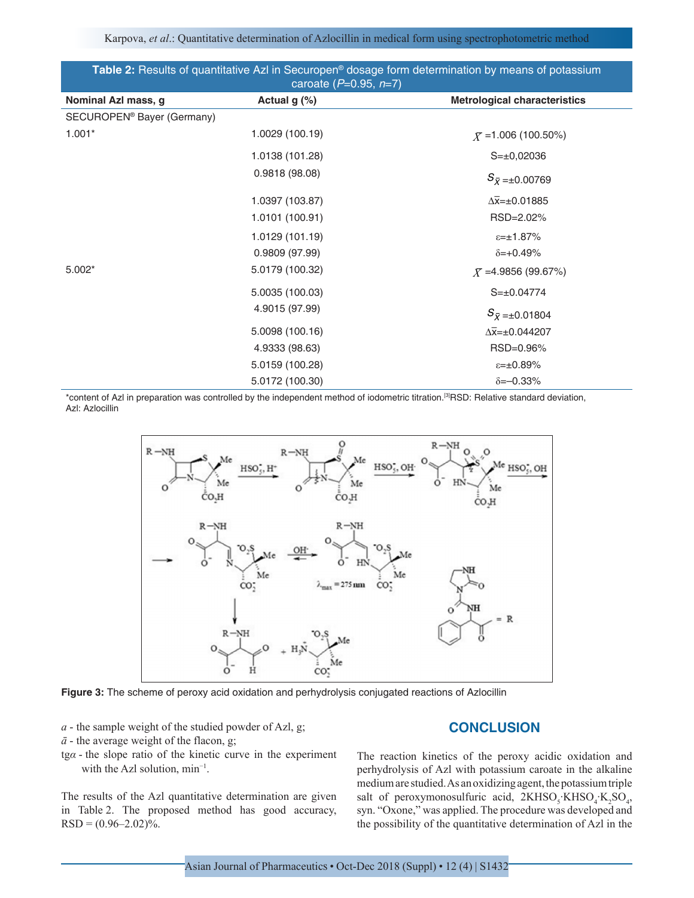Karpova, *et al*.: Quantitative determination of Azlocillin in medical form using spectrophotometric method

| Table 2: Results of quantitative Azl in Securopen® dosage form determination by means of potassium<br>caroate ( $P=0.95, n=7$ ) |                 |                                     |  |  |
|---------------------------------------------------------------------------------------------------------------------------------|-----------------|-------------------------------------|--|--|
| Nominal Azl mass, g                                                                                                             | Actual $g(\%)$  | <b>Metrological characteristics</b> |  |  |
| SECUROPEN <sup>®</sup> Bayer (Germany)                                                                                          |                 |                                     |  |  |
| $1.001*$                                                                                                                        | 1.0029 (100.19) | $\bar{X}$ =1.006 (100.50%)          |  |  |
|                                                                                                                                 | 1.0138 (101.28) | $S=\pm 0,02036$                     |  |  |
|                                                                                                                                 | 0.9818(98.08)   | $S_{\bar{X}=\pm 0.00769}$           |  |  |
|                                                                                                                                 | 1.0397 (103.87) | $\Delta \bar{x} = \pm 0.01885$      |  |  |
|                                                                                                                                 | 1.0101 (100.91) | RSD=2.02%                           |  |  |
|                                                                                                                                 | 1.0129 (101.19) | $x = \pm 1.87\%$                    |  |  |
|                                                                                                                                 | 0.9809 (97.99)  | $\delta = +0.49\%$                  |  |  |
| $5.002*$                                                                                                                        | 5.0179 (100.32) | $\bar{X}$ =4.9856 (99.67%)          |  |  |
|                                                                                                                                 | 5.0035 (100.03) | $S=\pm 0.04774$                     |  |  |
|                                                                                                                                 | 4.9015 (97.99)  | $S_{\bar{X}=\pm 0.01804}$           |  |  |
|                                                                                                                                 | 5.0098 (100.16) | $\Delta \bar{x} = \pm 0.044207$     |  |  |
|                                                                                                                                 | 4.9333 (98.63)  | RSD=0.96%                           |  |  |
|                                                                                                                                 | 5.0159 (100.28) | $E = \pm 0.89\%$                    |  |  |
|                                                                                                                                 | 5.0172 (100.30) | $\delta = -0.33\%$                  |  |  |

\*content of Azl in preparation was controlled by the independent method of iodometric titration.[3]RSD: Relative standard deviation, Azl: Azlocillin



**Figure 3:** The scheme of peroxy acid oxidation and perhydrolysis conjugated reactions of Azlocillin

- *а* the sample weight of the studied powder of Azl, g;
- $\bar{a}$  the average weight of the flacon, g;
- tg*α* the slope ratio of the kinetic curve in the experiment with the Azl solution, min−1.

The results of the Azl quantitative determination are given in Table 2. The proposed method has good accuracy,  $RSD = (0.96-2.02)\%$ .

## **CONCLUSION**

The reaction kinetics of the peroxy acidic oxidation and perhydrolysis of Azl with potassium caroate in the alkaline medium are studied. As an oxidizing agent, the potassium triple salt of peroxymonosulfuric acid,  $2KHSO<sub>3</sub>·KHSO<sub>4</sub>·K<sub>2</sub>SO<sub>4</sub>$ , syn. "Oxone," was applied. The procedure was developed and the possibility of the quantitative determination of Azl in the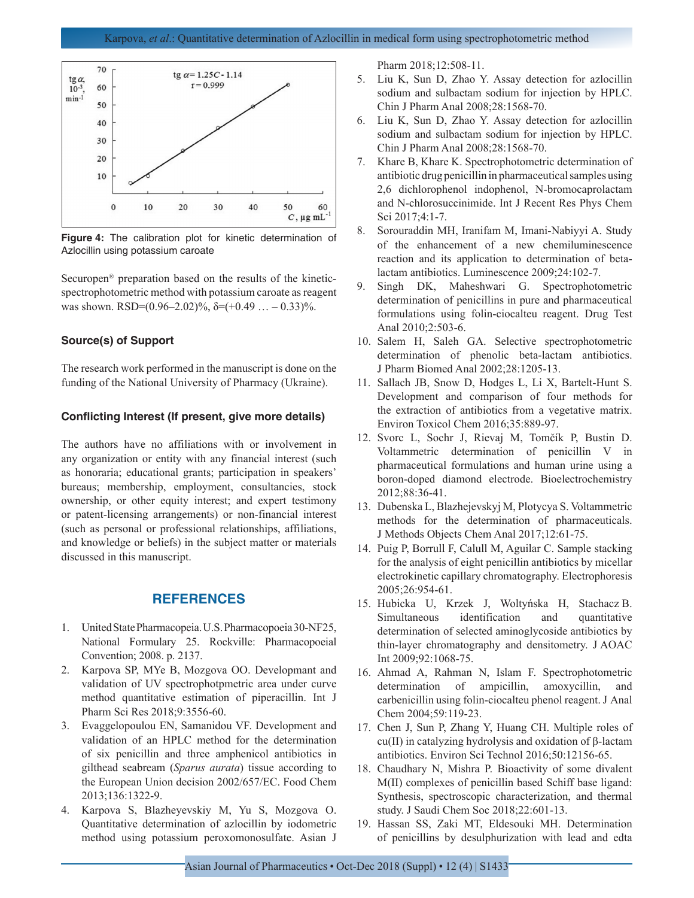

**Figure 4:** The calibration plot for kinetic determination of Azlocillin using potassium caroate

Securopen® preparation based on the results of the kineticspectrophotometric method with potassium caroate as reagent was shown. RSD= $(0.96-2.02)\%$ ,  $\delta = (+0.49 \dots -0.33)\%$ .

#### **Source(s) of Support**

The research work performed in the manuscript is done on the funding of the National University of Pharmacy (Ukraine).

#### **Conflicting Interest (If present, give more details)**

The authors have no affiliations with or involvement in any organization or entity with any financial interest (such as honoraria; educational grants; participation in speakers' bureaus; membership, employment, consultancies, stock ownership, or other equity interest; and expert testimony or patent-licensing arrangements) or non-financial interest (such as personal or professional relationships, affiliations, and knowledge or beliefs) in the subject matter or materials discussed in this manuscript.

#### **REFERENCES**

- 1. United State Pharmacopeia. U.S. Pharmacopoeia 30-NF25, National Formulary 25. Rockville: Pharmacopoeial Convention; 2008. p. 2137.
- 2. Karpova SP, MYe B, Mozgova OO. Developmant and validation of UV spectrophotpmetric area under curve method quantitative estimation of piperacillin. Int J Pharm Sci Res 2018;9:3556-60.
- 3. Evaggelopoulou EN, Samanidou VF. Development and validation of an HPLC method for the determination of six penicillin and three amphenicol antibiotics in gilthead seabream (*Sparus aurata*) tissue according to the European Union decision 2002/657/EC. Food Chem 2013;136:1322-9.
- 4. Karpova S, Blazheyevskiy M, Yu S, Mozgova O. Quantitative determination of azlocillin by iodometric method using potassium peroxomonosulfate. Asian J

Pharm 2018;12:508-11.

- 5. Liu K, Sun D, Zhao Y. Assay detection for azlocillin sodium and sulbactam sodium for injection by HPLC. Chin J Pharm Anal 2008;28:1568-70.
- 6. Liu K, Sun D, Zhao Y. Assay detection for azlocillin sodium and sulbactam sodium for injection by HPLC. Chin J Pharm Anal 2008;28:1568-70.
- 7. Khare B, Khare K. Spectrophotometric determination of antibiotic drug penicillin in pharmaceutical samples using 2,6 dichlorophenol indophenol, N-bromocaprolactam and N-chlorosuccinimide. Int J Recent Res Phys Chem Sci 2017;4:1-7.
- 8. Sorouraddin MH, Iranifam M, Imani-Nabiyyi A. Study of the enhancement of a new chemiluminescence reaction and its application to determination of betalactam antibiotics. Luminescence 2009;24:102-7.
- 9. Singh DK, Maheshwari G. Spectrophotometric determination of penicillins in pure and pharmaceutical formulations using folin-ciocalteu reagent. Drug Test Anal 2010;2:503-6.
- 10. Salem H, Saleh GA. Selective spectrophotometric determination of phenolic beta-lactam antibiotics. J Pharm Biomed Anal 2002;28:1205-13.
- 11. Sallach JB, Snow D, Hodges L, Li X, Bartelt-Hunt S. Development and comparison of four methods for the extraction of antibiotics from a vegetative matrix. Environ Toxicol Chem 2016;35:889-97.
- 12. Svorc L, Sochr J, Rievaj M, Tomčík P, Bustin D. Voltammetric determination of penicillin V in pharmaceutical formulations and human urine using a boron-doped diamond electrode. Bioelectrochemistry 2012;88:36-41.
- 13. Dubenska L, Blazhejevskyj M, Plotycya S. Voltammetric methods for the determination of pharmaceuticals. J Methods Objects Chem Anal 2017;12:61-75.
- 14. Puig P, Borrull F, Calull M, Aguilar C. Sample stacking for the analysis of eight penicillin antibiotics by micellar electrokinetic capillary chromatography. Electrophoresis 2005;26:954-61.
- 15. Hubicka U, Krzek J, Woltyńska H, Stachacz B. Simultaneous identification and quantitative determination of selected aminoglycoside antibiotics by thin-layer chromatography and densitometry. J AOAC Int 2009;92:1068-75.
- 16. Ahmad A, Rahman N, Islam F. Spectrophotometric determination of ampicillin, amoxycillin, and carbenicillin using folin-ciocalteu phenol reagent. J Anal Chem 2004;59:119-23.
- 17. Chen J, Sun P, Zhang Y, Huang CH. Multiple roles of cu(II) in catalyzing hydrolysis and oxidation of β-lactam antibiotics. Environ Sci Technol 2016;50:12156-65.
- 18. Chaudhary N, Mishra P. Bioactivity of some divalent M(II) complexes of penicillin based Schiff base ligand: Synthesis, spectroscopic characterization, and thermal study. J Saudi Chem Soc 2018;22:601-13.
- 19. Hassan SS, Zaki MT, Eldesouki MH. Determination of penicillins by desulphurization with lead and edta